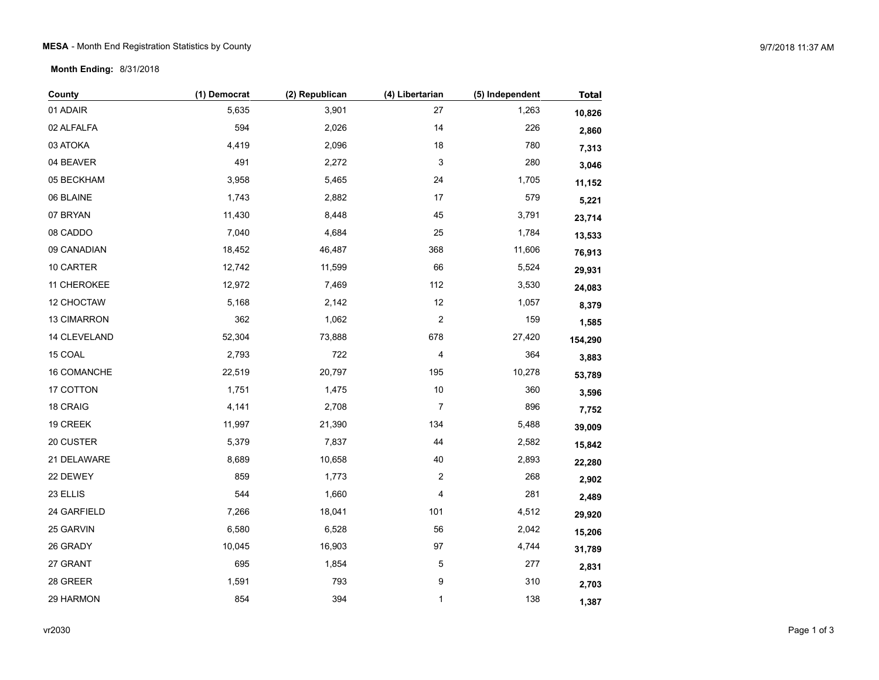## **MESA** - Month End Registration Statistics by County 9/7/2018 11:37 AM

## **Month Ending:** 8/31/2018

| County       | (1) Democrat | (2) Republican | (4) Libertarian         | (5) Independent | <b>Total</b> |
|--------------|--------------|----------------|-------------------------|-----------------|--------------|
| 01 ADAIR     | 5,635        | 3,901          | 27                      | 1,263           | 10,826       |
| 02 ALFALFA   | 594          | 2,026          | 14                      | 226             | 2,860        |
| 03 ATOKA     | 4,419        | 2,096          | 18                      | 780             | 7,313        |
| 04 BEAVER    | 491          | 2,272          | 3                       | 280             | 3,046        |
| 05 BECKHAM   | 3,958        | 5,465          | 24                      | 1,705           | 11,152       |
| 06 BLAINE    | 1,743        | 2,882          | 17                      | 579             | 5,221        |
| 07 BRYAN     | 11,430       | 8,448          | 45                      | 3,791           | 23,714       |
| 08 CADDO     | 7,040        | 4,684          | 25                      | 1,784           | 13,533       |
| 09 CANADIAN  | 18,452       | 46,487         | 368                     | 11,606          | 76,913       |
| 10 CARTER    | 12,742       | 11,599         | 66                      | 5,524           | 29,931       |
| 11 CHEROKEE  | 12,972       | 7,469          | 112                     | 3,530           | 24,083       |
| 12 CHOCTAW   | 5,168        | 2,142          | 12                      | 1,057           | 8,379        |
| 13 CIMARRON  | 362          | 1,062          | $\overline{\mathbf{c}}$ | 159             | 1,585        |
| 14 CLEVELAND | 52,304       | 73,888         | 678                     | 27,420          | 154,290      |
| 15 COAL      | 2,793        | 722            | 4                       | 364             | 3,883        |
| 16 COMANCHE  | 22,519       | 20,797         | 195                     | 10,278          | 53,789       |
| 17 COTTON    | 1,751        | 1,475          | $10$                    | 360             | 3,596        |
| 18 CRAIG     | 4,141        | 2,708          | $\overline{7}$          | 896             | 7,752        |
| 19 CREEK     | 11,997       | 21,390         | 134                     | 5,488           | 39,009       |
| 20 CUSTER    | 5,379        | 7,837          | 44                      | 2,582           | 15,842       |
| 21 DELAWARE  | 8,689        | 10,658         | 40                      | 2,893           | 22,280       |
| 22 DEWEY     | 859          | 1,773          | $\overline{\mathbf{c}}$ | 268             | 2,902        |
| 23 ELLIS     | 544          | 1,660          | 4                       | 281             | 2,489        |
| 24 GARFIELD  | 7,266        | 18,041         | 101                     | 4,512           | 29,920       |
| 25 GARVIN    | 6,580        | 6,528          | 56                      | 2,042           | 15,206       |
| 26 GRADY     | 10,045       | 16,903         | 97                      | 4,744           | 31,789       |
| 27 GRANT     | 695          | 1,854          | 5                       | 277             | 2,831        |
| 28 GREER     | 1,591        | 793            | 9                       | 310             | 2,703        |
| 29 HARMON    | 854          | 394            | $\mathbf{1}$            | 138             | 1,387        |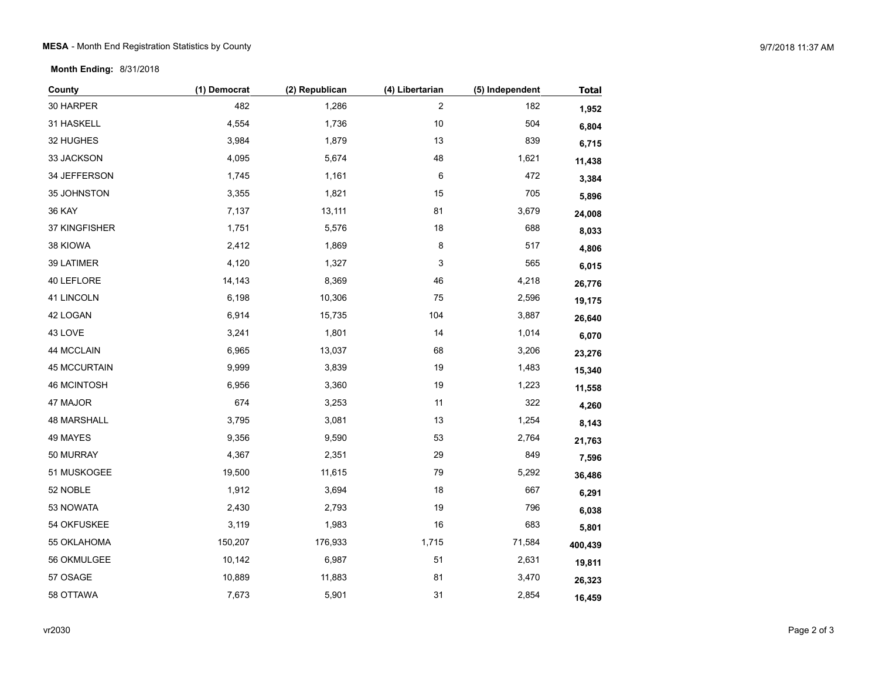**Month Ending:** 8/31/2018

| County              | (1) Democrat | (2) Republican | (4) Libertarian | (5) Independent | <b>Total</b> |
|---------------------|--------------|----------------|-----------------|-----------------|--------------|
| 30 HARPER           | 482          | 1,286          | $\overline{c}$  | 182             | 1,952        |
| 31 HASKELL          | 4,554        | 1,736          | $10$            | 504             | 6,804        |
| 32 HUGHES           | 3,984        | 1,879          | 13              | 839             | 6,715        |
| 33 JACKSON          | 4,095        | 5,674          | 48              | 1,621           | 11,438       |
| 34 JEFFERSON        | 1,745        | 1,161          | 6               | 472             | 3,384        |
| 35 JOHNSTON         | 3,355        | 1,821          | 15              | 705             | 5,896        |
| <b>36 KAY</b>       | 7,137        | 13,111         | 81              | 3,679           | 24,008       |
| 37 KINGFISHER       | 1,751        | 5,576          | $18$            | 688             | 8,033        |
| 38 KIOWA            | 2,412        | 1,869          | 8               | 517             | 4,806        |
| 39 LATIMER          | 4,120        | 1,327          | 3               | 565             | 6,015        |
| 40 LEFLORE          | 14,143       | 8,369          | 46              | 4,218           | 26,776       |
| 41 LINCOLN          | 6,198        | 10,306         | 75              | 2,596           | 19,175       |
| 42 LOGAN            | 6,914        | 15,735         | 104             | 3,887           | 26,640       |
| 43 LOVE             | 3,241        | 1,801          | 14              | 1,014           | 6,070        |
| 44 MCCLAIN          | 6,965        | 13,037         | 68              | 3,206           | 23,276       |
| <b>45 MCCURTAIN</b> | 9,999        | 3,839          | 19              | 1,483           | 15,340       |
| 46 MCINTOSH         | 6,956        | 3,360          | 19              | 1,223           | 11,558       |
| 47 MAJOR            | 674          | 3,253          | 11              | 322             | 4,260        |
| 48 MARSHALL         | 3,795        | 3,081          | 13              | 1,254           | 8,143        |
| 49 MAYES            | 9,356        | 9,590          | 53              | 2,764           | 21,763       |
| 50 MURRAY           | 4,367        | 2,351          | 29              | 849             | 7,596        |
| 51 MUSKOGEE         | 19,500       | 11,615         | 79              | 5,292           | 36,486       |
| 52 NOBLE            | 1,912        | 3,694          | $18$            | 667             | 6,291        |
| 53 NOWATA           | 2,430        | 2,793          | 19              | 796             | 6,038        |
| 54 OKFUSKEE         | 3,119        | 1,983          | 16              | 683             | 5,801        |
| 55 OKLAHOMA         | 150,207      | 176,933        | 1,715           | 71,584          | 400,439      |
| 56 OKMULGEE         | 10,142       | 6,987          | 51              | 2,631           | 19,811       |
| 57 OSAGE            | 10,889       | 11,883         | 81              | 3,470           | 26,323       |
| 58 OTTAWA           | 7,673        | 5,901          | 31              | 2,854           | 16,459       |